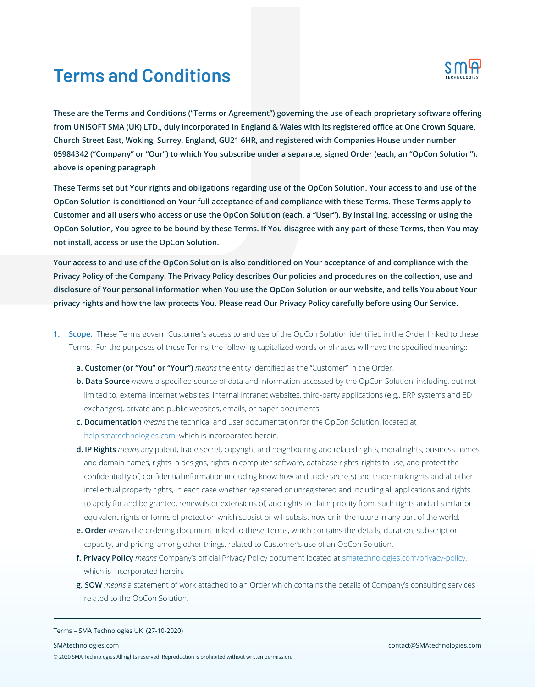# **Terms and Conditions**



**These are the Terms and Conditions ("Terms or Agreement") governing the use of each proprietary software offering from UNISOFT SMA (UK) LTD., duly incorporated in England & Wales with its registered office at One Crown Square, Church Street East, Woking, Surrey, England, GU21 6HR, and registered with Companies House under number 05984342 ("Company" or "Our") to which You subscribe under a separate, signed Order (each, an "OpCon Solution"). above is opening paragraph**

**These Terms set out Your rights and obligations regarding use of the OpCon Solution. Your access to and use of the OpCon Solution is conditioned on Your full acceptance of and compliance with these Terms. These Terms apply to Customer and all users who access or use the OpCon Solution (each, a "User"). By installing, accessing or using the OpCon Solution, You agree to be bound by these Terms. If You disagree with any part of these Terms, then You may not install, access or use the OpCon Solution.**

**Your access to and use of the OpCon Solution is also conditioned on Your acceptance of and compliance with the Privacy Policy of the Company. The Privacy Policy describes Our policies and procedures on the collection, use and disclosure of Your personal information when You use the OpCon Solution or our website, and tells You about Your privacy rights and how the law protects You. Please read Our Privacy Policy carefully before using Our Service.**

- **1. Scope.** These Terms govern Customer's access to and use of the OpCon Solution identified in the Order linked to these Terms. For the purposes of these Terms, the following capitalized words or phrases will have the specified meaning::
	- **a. Customer (or "You" or "Your")** *means* the entity identified as the "Customer" in the Order.
	- **b. Data Source** *means* a specified source of data and information accessed by the OpCon Solution, including, but not limited to, external internet websites, internal intranet websites, third-party applications (e.g., ERP systems and EDI exchanges), private and public websites, emails, or paper documents.
	- **c. Documentation** *means* the technical and user documentation for the OpCon Solution, located at help.smatechnologies.com, which is incorporated herein.
	- **d. IP Rights** *means* any patent, trade secret, copyright and neighbouring and related rights, moral rights, business names and domain names, rights in designs, rights in computer software, database rights, rights to use, and protect the confidentiality of, confidential information (including know-how and trade secrets) and trademark rights and all other intellectual property rights, in each case whether registered or unregistered and including all applications and rights to apply for and be granted, renewals or extensions of, and rights to claim priority from, such rights and all similar or equivalent rights or forms of protection which subsist or will subsist now or in the future in any part of the world.
	- **e. Order** *means* the ordering document linked to these Terms, which contains the details, duration, subscription capacity, and pricing, among other things, related to Customer's use of an OpCon Solution.
	- **f. Privacy Policy** *means* Company's official Privacy Policy document located at smatechnologies.com/privacy-policy, which is incorporated herein.
	- **g. SOW** *means* a statement of work attached to an Order which contains the details of Company's consulting services related to the OpCon Solution.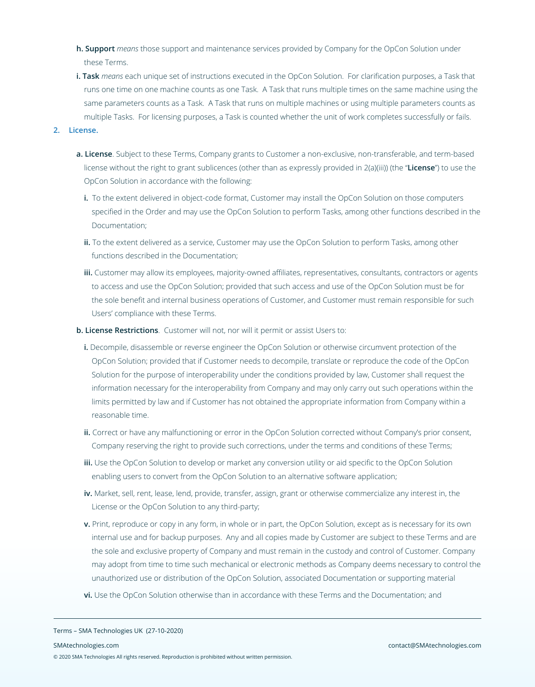- **h. Support** *means* those support and maintenance services provided by Company for the OpCon Solution under these Terms.
- **i. Task** *means* each unique set of instructions executed in the OpCon Solution. For clarification purposes, a Task that runs one time on one machine counts as one Task. A Task that runs multiple times on the same machine using the same parameters counts as a Task. A Task that runs on multiple machines or using multiple parameters counts as multiple Tasks. For licensing purposes, a Task is counted whether the unit of work completes successfully or fails.

## **2. License.**

- **a. License**. Subject to these Terms, Company grants to Customer a non-exclusive, non-transferable, and term-based license without the right to grant sublicences (other than as expressly provided in 2(a)(iii)) (the "**License**") to use the OpCon Solution in accordance with the following:
	- **i.** To the extent delivered in object-code format, Customer may install the OpCon Solution on those computers specified in the Order and may use the OpCon Solution to perform Tasks, among other functions described in the Documentation;
	- **ii.** To the extent delivered as a service, Customer may use the OpCon Solution to perform Tasks, among other functions described in the Documentation;
	- **iii.** Customer may allow its employees, majority-owned affiliates, representatives, consultants, contractors or agents to access and use the OpCon Solution; provided that such access and use of the OpCon Solution must be for the sole benefit and internal business operations of Customer, and Customer must remain responsible for such Users' compliance with these Terms.
- **b. License Restrictions**. Customer will not, nor will it permit or assist Users to:
	- **i.** Decompile, disassemble or reverse engineer the OpCon Solution or otherwise circumvent protection of the OpCon Solution; provided that if Customer needs to decompile, translate or reproduce the code of the OpCon Solution for the purpose of interoperability under the conditions provided by law, Customer shall request the information necessary for the interoperability from Company and may only carry out such operations within the limits permitted by law and if Customer has not obtained the appropriate information from Company within a reasonable time.
	- **ii.** Correct or have any malfunctioning or error in the OpCon Solution corrected without Company's prior consent, Company reserving the right to provide such corrections, under the terms and conditions of these Terms;
	- **iii.** Use the OpCon Solution to develop or market any conversion utility or aid specific to the OpCon Solution enabling users to convert from the OpCon Solution to an alternative software application;
	- **iv.** Market, sell, rent, lease, lend, provide, transfer, assign, grant or otherwise commercialize any interest in, the License or the OpCon Solution to any third-party;
	- **v.** Print, reproduce or copy in any form, in whole or in part, the OpCon Solution, except as is necessary for its own internal use and for backup purposes. Any and all copies made by Customer are subject to these Terms and are the sole and exclusive property of Company and must remain in the custody and control of Customer. Company may adopt from time to time such mechanical or electronic methods as Company deems necessary to control the unauthorized use or distribution of the OpCon Solution, associated Documentation or supporting material
	- **vi.** Use the OpCon Solution otherwise than in accordance with these Terms and the Documentation; and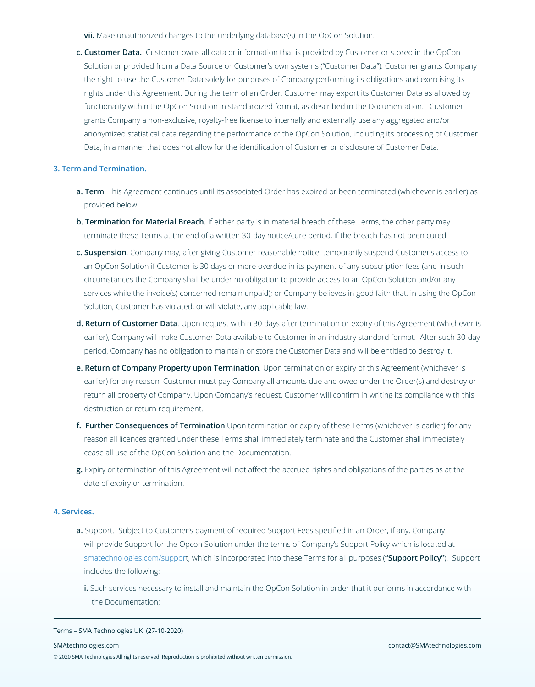**vii.** Make unauthorized changes to the underlying database(s) in the OpCon Solution.

**c. Customer Data.** Customer owns all data or information that is provided by Customer or stored in the OpCon Solution or provided from a Data Source or Customer's own systems ("Customer Data"). Customer grants Company the right to use the Customer Data solely for purposes of Company performing its obligations and exercising its rights under this Agreement. During the term of an Order, Customer may export its Customer Data as allowed by functionality within the OpCon Solution in standardized format, as described in the Documentation. Customer grants Company a non-exclusive, royalty-free license to internally and externally use any aggregated and/or anonymized statistical data regarding the performance of the OpCon Solution, including its processing of Customer Data, in a manner that does not allow for the identification of Customer or disclosure of Customer Data.

#### **3. Term and Termination.**

- **a. Term**. This Agreement continues until its associated Order has expired or been terminated (whichever is earlier) as provided below.
- **b. Termination for Material Breach.** If either party is in material breach of these Terms, the other party may terminate these Terms at the end of a written 30-day notice/cure period, if the breach has not been cured.
- **c. Suspension**. Company may, after giving Customer reasonable notice, temporarily suspend Customer's access to an OpCon Solution if Customer is 30 days or more overdue in its payment of any subscription fees (and in such circumstances the Company shall be under no obligation to provide access to an OpCon Solution and/or any services while the invoice(s) concerned remain unpaid); or Company believes in good faith that, in using the OpCon Solution, Customer has violated, or will violate, any applicable law.
- **d. Return of Customer Data**. Upon request within 30 days after termination or expiry of this Agreement (whichever is earlier), Company will make Customer Data available to Customer in an industry standard format. After such 30-day period, Company has no obligation to maintain or store the Customer Data and will be entitled to destroy it.
- **e. Return of Company Property upon Termination**. Upon termination or expiry of this Agreement (whichever is earlier) for any reason, Customer must pay Company all amounts due and owed under the Order(s) and destroy or return all property of Company. Upon Company's request, Customer will confirm in writing its compliance with this destruction or return requirement.
- **f. Further Consequences of Termination** Upon termination or expiry of these Terms (whichever is earlier) for any reason all licences granted under these Terms shall immediately terminate and the Customer shall immediately cease all use of the OpCon Solution and the Documentation.
- **g.** Expiry or termination of this Agreement will not affect the accrued rights and obligations of the parties as at the date of expiry or termination.

#### **4. Services.**

- **a.** Support. Subject to Customer's payment of required Support Fees specified in an Order, if any, Company will provide Support for the Opcon Solution under the terms of Company's Support Policy which is located at smatechnologies.com/support, which is incorporated into these Terms for all purposes (**"Support Policy"**). Support includes the following:
	- **i.** Such services necessary to install and maintain the OpCon Solution in order that it performs in accordance with the Documentation;

#### Terms – SMA Technologies UK (27-10-2020)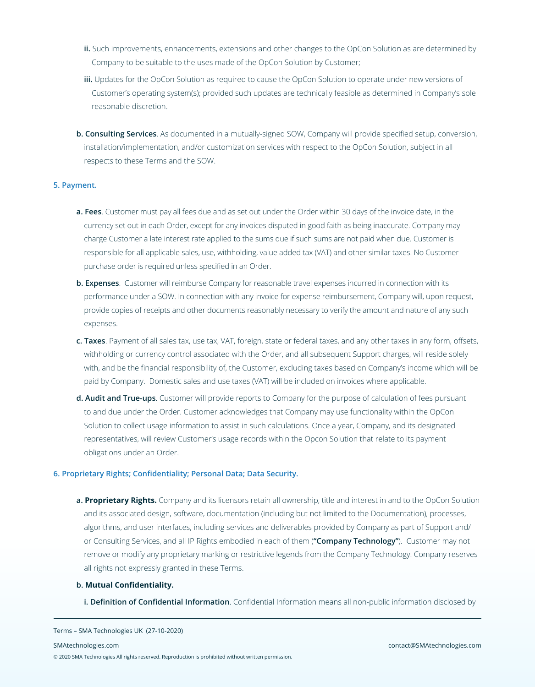- **ii.** Such improvements, enhancements, extensions and other changes to the OpCon Solution as are determined by Company to be suitable to the uses made of the OpCon Solution by Customer;
- **iii.** Updates for the OpCon Solution as required to cause the OpCon Solution to operate under new versions of Customer's operating system(s); provided such updates are technically feasible as determined in Company's sole reasonable discretion.
- **b. Consulting Services** . As documented in a mutually-signed SOW, Company will provide specified setup, conversion, installation/implementation, and/or customization services with respect to the OpCon Solution, subject in all respects to these Terms and the SOW.

#### **5. Payment.**

- **a. Fees**. Customer must pay all fees due and as set out under the Order within 30 days of the invoice date, in the currency set out in each Order, except for any invoices disputed in good faith as being inaccurate. Company may charge Customer a late interest rate applied to the sums due if such sums are not paid when due. Customer is responsible for all applicable sales, use, withholding, value added tax (VAT) and other similar taxes. No Customer purchase order is required unless specified in an Order.
- **b. Expenses**. Customer will reimburse Company for reasonable travel expenses incurred in connection with its performance under a SOW. In connection with any invoice for expense reimbursement, Company will, upon request, provide copies of receipts and other documents reasonably necessary to verify the amount and nature of any such expenses.
- **c. Taxes**. Payment of all sales tax, use tax, VAT, foreign, state or federal taxes, and any other taxes in any form, offsets, withholding or currency control associated with the Order, and all subsequent Support charges, will reside solely with, and be the financial responsibility of, the Customer, excluding taxes based on Company's income which will be paid by Company. Domestic sales and use taxes (VAT) will be included on invoices where applicable.
- **d. Audit and True-ups**. Customer will provide reports to Company for the purpose of calculation of fees pursuant to and due under the Order. Customer acknowledges that Company may use functionality within the OpCon Solution to collect usage information to assist in such calculations. Once a year, Company, and its designated representatives, will review Customer's usage records within the Opcon Solution that relate to its payment obligations under an Order.

### **6. Proprietary Rights; Confidentiality; Personal Data; Data Security.**

**a. Proprietary Rights.** Company and its licensors retain all ownership, title and interest in and to the OpCon Solution and its associated design, software, documentation (including but not limited to the Documentation), processes, algorithms, and user interfaces, including services and deliverables provided by Company as part of Support and/ or Consulting Services, and all IP Rights embodied in each of them (**"Company Technology"**). Customer may not remove or modify any proprietary marking or restrictive legends from the Company Technology. Company reserves all rights not expressly granted in these Terms.

#### **b. Mutual Confidentiality.**

**i. Definition of Confidential Information**. Confidential Information means all non-public information disclosed by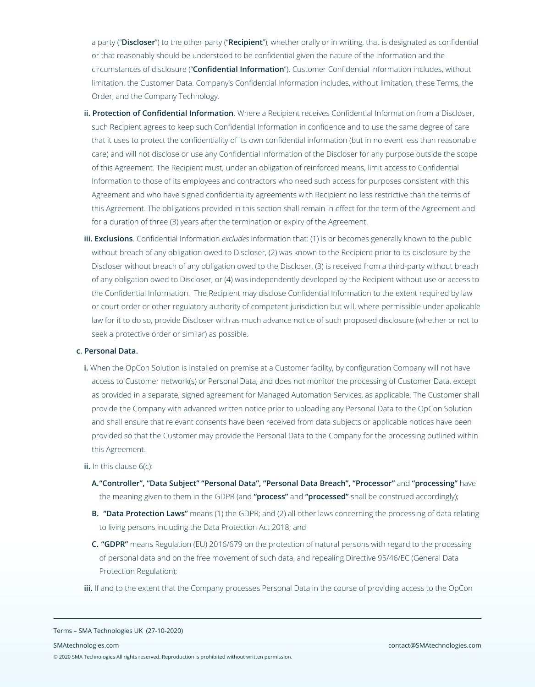a party ("**Discloser**") to the other party ("**Recipient**"), whether orally or in writing, that is designated as confidential or that reasonably should be understood to be confidential given the nature of the information and the circumstances of disclosure ("**Confidential Information**"). Customer Confidential Information includes, without limitation, the Customer Data. Company's Confidential Information includes, without limitation, these Terms, the Order, and the Company Technology.

- **ii. Protection of Confidential Information**. Where a Recipient receives Confidential Information from a Discloser, such Recipient agrees to keep such Confidential Information in confidence and to use the same degree of care that it uses to protect the confidentiality of its own confidential information (but in no event less than reasonable care) and will not disclose or use any Confidential Information of the Discloser for any purpose outside the scope of this Agreement. The Recipient must, under an obligation of reinforced means, limit access to Confidential Information to those of its employees and contractors who need such access for purposes consistent with this Agreement and who have signed confidentiality agreements with Recipient no less restrictive than the terms of this Agreement. The obligations provided in this section shall remain in effect for the term of the Agreement and for a duration of three (3) years after the termination or expiry of the Agreement.
- **iii. Exclusions**. Confidential Information *excludes* information that: (1) is or becomes generally known to the public without breach of any obligation owed to Discloser, (2) was known to the Recipient prior to its disclosure by the Discloser without breach of any obligation owed to the Discloser, (3) is received from a third-party without breach of any obligation owed to Discloser, or (4) was independently developed by the Recipient without use or access to the Confidential Information. The Recipient may disclose Confidential Information to the extent required by law or court order or other regulatory authority of competent jurisdiction but will, where permissible under applicable law for it to do so, provide Discloser with as much advance notice of such proposed disclosure (whether or not to seek a protective order or similar) as possible.

#### **c. Personal Data.**

**i.** When the OpCon Solution is installed on premise at a Customer facility, by configuration Company will not have access to Customer network(s) or Personal Data, and does not monitor the processing of Customer Data, except as provided in a separate, signed agreement for Managed Automation Services, as applicable. The Customer shall provide the Company with advanced written notice prior to uploading any Personal Data to the OpCon Solution and shall ensure that relevant consents have been received from data subjects or applicable notices have been provided so that the Customer may provide the Personal Data to the Company for the processing outlined within this Agreement.

**ii.** In this clause 6(c):

- **A."Controller", "Data Subject" "Personal Data", "Personal Data Breach", "Processor"** and **"processing"** have the meaning given to them in the GDPR (and **"process"** and **"processed"** shall be construed accordingly);
- **B. "Data Protection Laws"** means (1) the GDPR; and (2) all other laws concerning the processing of data relating to living persons including the Data Protection Act 2018; and
- **C. "GDPR"** means Regulation (EU) 2016/679 on the protection of natural persons with regard to the processing of personal data and on the free movement of such data, and repealing Directive 95/46/EC (General Data Protection Regulation);
- **iii.** If and to the extent that the Company processes Personal Data in the course of providing access to the OpCon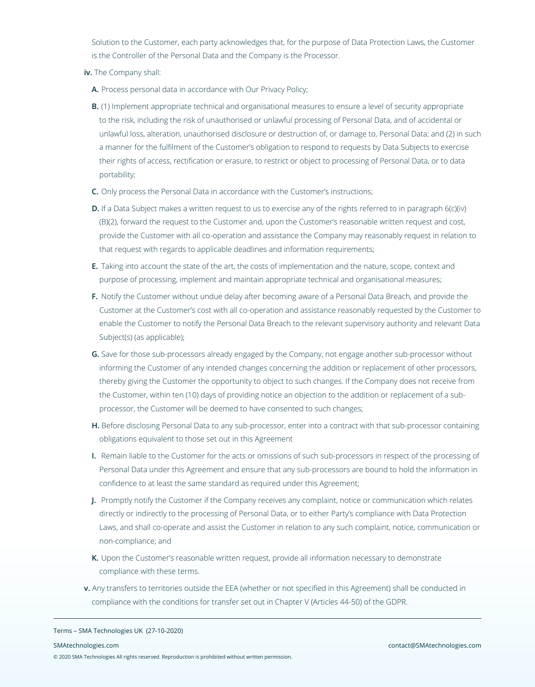Solution to the Customer, each party acknowledges that, for the purpose of Data Protection Laws, the Customer is the Controller of the Personal Data and the Company is the Processor.

- **iv.** The Company shall:
	- **A.** Process personal data in accordance with Our Privacy Policy;
	- **B.** (1) Implement appropriate technical and organisational measures to ensure a level of security appropriate to the risk, including the risk of unauthorised or unlawful processing of Personal Data, and of accidental or unlawful loss, alteration, unauthorised disclosure or destruction of, or damage to, Personal Data; and (2) in such a manner for the fulfilment of the Customer's obligation to respond to requests by Data Subjects to exercise their rights of access, rectification or erasure, to restrict or object to processing of Personal Data, or to data portability;
	- **C.** Only process the Personal Data in accordance with the Customer's instructions;
	- **D.** If a Data Subject makes a written request to us to exercise any of the rights referred to in paragraph 6(c)(iv) (B)(2), forward the request to the Customer and, upon the Customer's reasonable written request and cost, provide the Customer with all co-operation and assistance the Company may reasonably request in relation to that request with regards to applicable deadlines and information requirements;
	- **E.** Taking into account the state of the art, the costs of implementation and the nature, scope, context and purpose of processing, implement and maintain appropriate technical and organisational measures;
	- **F.** Notify the Customer without undue delay after becoming aware of a Personal Data Breach, and provide the Customer at the Customer's cost with all co-operation and assistance reasonably requested by the Customer to enable the Customer to notify the Personal Data Breach to the relevant supervisory authority and relevant Data Subject(s) (as applicable);
	- **G.** Save for those sub-processors already engaged by the Company, not engage another sub-processor without informing the Customer of any intended changes concerning the addition or replacement of other processors, thereby giving the Customer the opportunity to object to such changes. If the Company does not receive from the Customer, within ten (10) days of providing notice an objection to the addition or replacement of a subprocessor, the Customer will be deemed to have consented to such changes;
	- **H.** Before disclosing Personal Data to any sub-processor, enter into a contract with that sub-processor containing obligations equivalent to those set out in this Agreement
	- **I.** Remain liable to the Customer for the acts or omissions of such sub-processors in respect of the processing of Personal Data under this Agreement and ensure that any sub-processors are bound to hold the information in confidence to at least the same standard as required under this Agreement;
- **J.** Promptly notify the Customer if the Company receives any complaint, notice or communication which relates directly or indirectly to the processing of Personal Data, or to either Party's compliance with Data Protection Laws, and shall co-operate and assist the Customer in relation to any such complaint, notice, communication or non-compliance; and
- **K.** Upon the Customer's reasonable written request, provide all information necessary to demonstrate compliance with these terms.
- **v.** Any transfers to territories outside the EEA (whether or not specified in this Agreement) shall be conducted in compliance with the conditions for transfer set out in Chapter V (Articles 44-50) of the GDPR.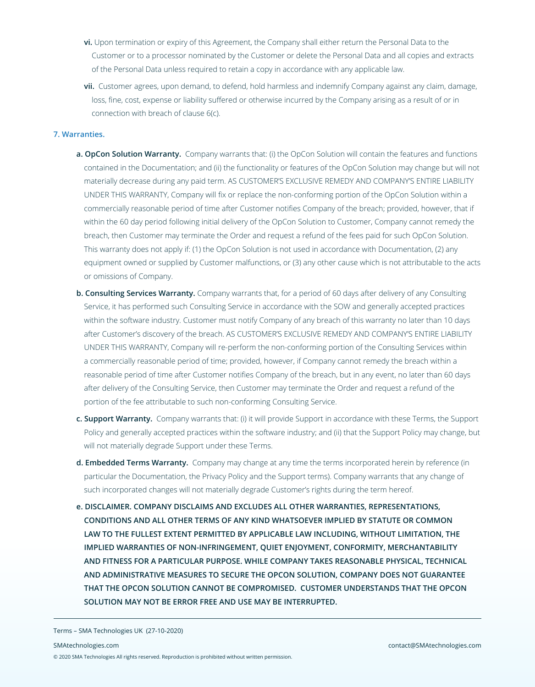- **vi.** Upon termination or expiry of this Agreement, the Company shall either return the Personal Data to the Customer or to a processor nominated by the Customer or delete the Personal Data and all copies and extracts of the Personal Data unless required to retain a copy in accordance with any applicable law.
- **vii.** Customer agrees, upon demand, to defend, hold harmless and indemnify Company against any claim, damage, loss, fine, cost, expense or liability suffered or otherwise incurred by the Company arising as a result of or in connection with breach of clause 6(c).

### **7. Warranties.**

- **a. OpCon Solution Warranty.** Company warrants that: (i) the OpCon Solution will contain the features and functions contained in the Documentation; and (ii) the functionality or features of the OpCon Solution may change but will not materially decrease during any paid term. AS CUSTOMER'S EXCLUSIVE REMEDY AND COMPANY'S ENTIRE LIABILITY UNDER THIS WARRANTY, Company will fix or replace the non-conforming portion of the OpCon Solution within a commercially reasonable period of time after Customer notifies Company of the breach; provided, however, that if within the 60 day period following initial delivery of the OpCon Solution to Customer, Company cannot remedy the breach, then Customer may terminate the Order and request a refund of the fees paid for such OpCon Solution. This warranty does not apply if: (1) the OpCon Solution is not used in accordance with Documentation, (2) any equipment owned or supplied by Customer malfunctions, or (3) any other cause which is not attributable to the acts or omissions of Company.
- **b. Consulting Services Warranty.** Company warrants that, for a period of 60 days after delivery of any Consulting Service, it has performed such Consulting Service in accordance with the SOW and generally accepted practices within the software industry. Customer must notify Company of any breach of this warranty no later than 10 days after Customer's discovery of the breach. AS CUSTOMER'S EXCLUSIVE REMEDY AND COMPANY'S ENTIRE LIABILITY UNDER THIS WARRANTY, Company will re-perform the non-conforming portion of the Consulting Services within a commercially reasonable period of time; provided, however, if Company cannot remedy the breach within a reasonable period of time after Customer notifies Company of the breach, but in any event, no later than 60 days after delivery of the Consulting Service, then Customer may terminate the Order and request a refund of the portion of the fee attributable to such non-conforming Consulting Service.
- **c. Support Warranty.** Company warrants that: (i) it will provide Support in accordance with these Terms, the Support Policy and generally accepted practices within the software industry; and (ii) that the Support Policy may change, but will not materially degrade Support under these Terms.
- **d. Embedded Terms Warranty.** Company may change at any time the terms incorporated herein by reference (in particular the Documentation, the Privacy Policy and the Support terms). Company warrants that any change of such incorporated changes will not materially degrade Customer's rights during the term hereof.
- **e. DISCLAIMER. COMPANY DISCLAIMS AND EXCLUDES ALL OTHER WARRANTIES, REPRESENTATIONS, CONDITIONS AND ALL OTHER TERMS OF ANY KIND WHATSOEVER IMPLIED BY STATUTE OR COMMON LAW TO THE FULLEST EXTENT PERMITTED BY APPLICABLE LAW INCLUDING, WITHOUT LIMITATION, THE IMPLIED WARRANTIES OF NON-INFRINGEMENT, QUIET ENJOYMENT, CONFORMITY, MERCHANTABILITY AND FITNESS FOR A PARTICULAR PURPOSE. WHILE COMPANY TAKES REASONABLE PHYSICAL, TECHNICAL AND ADMINISTRATIVE MEASURES TO SECURE THE OPCON SOLUTION, COMPANY DOES NOT GUARANTEE THAT THE OPCON SOLUTION CANNOT BE COMPROMISED. CUSTOMER UNDERSTANDS THAT THE OPCON SOLUTION MAY NOT BE ERROR FREE AND USE MAY BE INTERRUPTED.**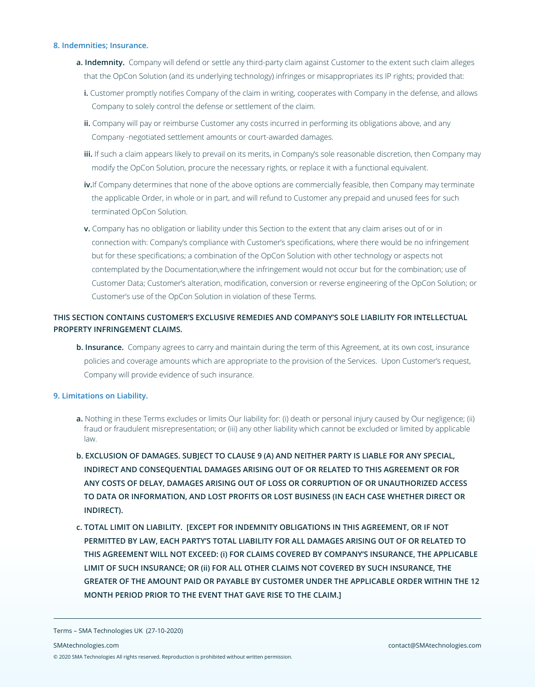### **8. Indemnities; Insurance.**

- **a. Indemnity.** Company will defend or settle any third-party claim against Customer to the extent such claim alleges that the OpCon Solution (and its underlying technology) infringes or misappropriates its IP rights; provided that:
	- **i.** Customer promptly notifies Company of the claim in writing, cooperates with Company in the defense, and allows Company to solely control the defense or settlement of the claim.
	- **ii.** Company will pay or reimburse Customer any costs incurred in performing its obligations above, and any Company -negotiated settlement amounts or court-awarded damages.
	- **iii.** If such a claim appears likely to prevail on its merits, in Company's sole reasonable discretion, then Company may modify the OpCon Solution, procure the necessary rights, or replace it with a functional equivalent.
	- **iv.**If Company determines that none of the above options are commercially feasible, then Company may terminate the applicable Order, in whole or in part, and will refund to Customer any prepaid and unused fees for such terminated OpCon Solution.
	- **v.** Company has no obligation or liability under this Section to the extent that any claim arises out of or in connection with: Company's compliance with Customer's specifications, where there would be no infringement but for these specifications; a combination of the OpCon Solution with other technology or aspects not contemplated by the Documentation,where the infringement would not occur but for the combination; use of Customer Data; Customer's alteration, modification, conversion or reverse engineering of the OpCon Solution; or Customer's use of the OpCon Solution in violation of these Terms.

# **THIS SECTION CONTAINS CUSTOMER'S EXCLUSIVE REMEDIES AND COMPANY'S SOLE LIABILITY FOR INTELLECTUAL PROPERTY INFRINGEMENT CLAIMS.**

**b. Insurance.** Company agrees to carry and maintain during the term of this Agreement, at its own cost, insurance policies and coverage amounts which are appropriate to the provision of the Services. Upon Customer's request, Company will provide evidence of such insurance.

#### **9. Limitations on Liability.**

- **a.** Nothing in these Terms excludes or limits Our liability for: (i) death or personal injury caused by Our negligence; (ii) fraud or fraudulent misrepresentation; or (iii) any other liability which cannot be excluded or limited by applicable law.
- **b. EXCLUSION OF DAMAGES. SUBJECT TO CLAUSE 9 (A) AND NEITHER PARTY IS LIABLE FOR ANY SPECIAL, INDIRECT AND CONSEQUENTIAL DAMAGES ARISING OUT OF OR RELATED TO THIS AGREEMENT OR FOR ANY COSTS OF DELAY, DAMAGES ARISING OUT OF LOSS OR CORRUPTION OF OR UNAUTHORIZED ACCESS TO DATA OR INFORMATION, AND LOST PROFITS OR LOST BUSINESS (IN EACH CASE WHETHER DIRECT OR INDIRECT).**
- **c. TOTAL LIMIT ON LIABILITY. [EXCEPT FOR INDEMNITY OBLIGATIONS IN THIS AGREEMENT, OR IF NOT PERMITTED BY LAW, EACH PARTY'S TOTAL LIABILITY FOR ALL DAMAGES ARISING OUT OF OR RELATED TO THIS AGREEMENT WILL NOT EXCEED: (i) FOR CLAIMS COVERED BY COMPANY'S INSURANCE, THE APPLICABLE LIMIT OF SUCH INSURANCE; OR (ii) FOR ALL OTHER CLAIMS NOT COVERED BY SUCH INSURANCE, THE GREATER OF THE AMOUNT PAID OR PAYABLE BY CUSTOMER UNDER THE APPLICABLE ORDER WITHIN THE 12 MONTH PERIOD PRIOR TO THE EVENT THAT GAVE RISE TO THE CLAIM.]**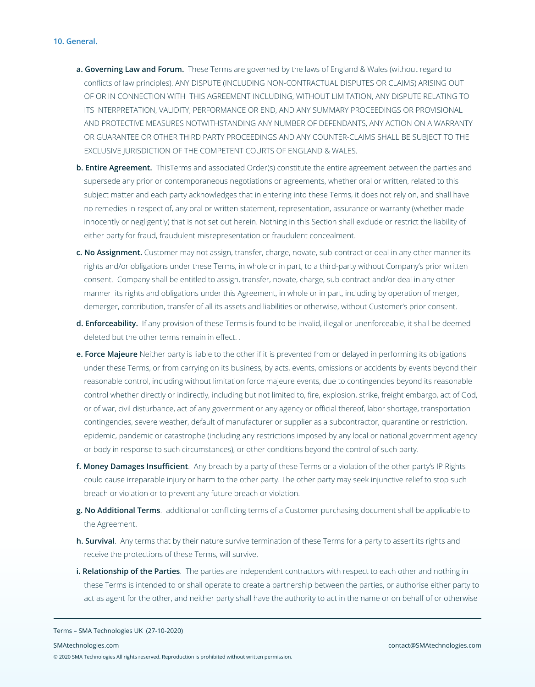- **a. Governing Law and Forum.** These Terms are governed by the laws of England & Wales (without regard to conflicts of law principles). ANY DISPUTE (INCLUDING NON-CONTRACTUAL DISPUTES OR CLAIMS) ARISING OUT OF OR IN CONNECTION WITH THIS AGREEMENT INCLUDING, WITHOUT LIMITATION, ANY DISPUTE RELATING TO ITS INTERPRETATION, VALIDITY, PERFORMANCE OR END, AND ANY SUMMARY PROCEEDINGS OR PROVISIONAL AND PROTECTIVE MEASURES NOTWITHSTANDING ANY NUMBER OF DEFENDANTS, ANY ACTION ON A WARRANTY OR GUARANTEE OR OTHER THIRD PARTY PROCEEDINGS AND ANY COUNTER-CLAIMS SHALL BE SUBJECT TO THE EXCLUSIVE JURISDICTION OF THE COMPETENT COURTS OF ENGLAND & WALES.
- **b. Entire Agreement.** ThisTerms and associated Order(s) constitute the entire agreement between the parties and supersede any prior or contemporaneous negotiations or agreements, whether oral or written, related to this subject matter and each party acknowledges that in entering into these Terms, it does not rely on, and shall have no remedies in respect of, any oral or written statement, representation, assurance or warranty (whether made innocently or negligently) that is not set out herein. Nothing in this Section shall exclude or restrict the liability of either party for fraud, fraudulent misrepresentation or fraudulent concealment.
- **c. No Assignment.** Customer may not assign, transfer, charge, novate, sub-contract or deal in any other manner its rights and/or obligations under these Terms, in whole or in part, to a third-party without Company's prior written consent. Company shall be entitled to assign, transfer, novate, charge, sub-contract and/or deal in any other manner its rights and obligations under this Agreement, in whole or in part, including by operation of merger, demerger, contribution, transfer of all its assets and liabilities or otherwise, without Customer's prior consent.
- **d. Enforceability.** If any provision of these Terms is found to be invalid, illegal or unenforceable, it shall be deemed deleted but the other terms remain in effect. .
- **e. Force Majeure** Neither party is liable to the other if it is prevented from or delayed in performing its obligations under these Terms, or from carrying on its business, by acts, events, omissions or accidents by events beyond their reasonable control, including without limitation force majeure events, due to contingencies beyond its reasonable control whether directly or indirectly, including but not limited to, fire, explosion, strike, freight embargo, act of God, or of war, civil disturbance, act of any government or any agency or official thereof, labor shortage, transportation contingencies, severe weather, default of manufacturer or supplier as a subcontractor, quarantine or restriction, epidemic, pandemic or catastrophe (including any restrictions imposed by any local or national government agency or body in response to such circumstances), or other conditions beyond the control of such party.
- **f. Money Damages Insufficient**. Any breach by a party of these Terms or a violation of the other party's IP Rights could cause irreparable injury or harm to the other party. The other party may seek injunctive relief to stop such breach or violation or to prevent any future breach or violation.
- **g. No Additional Terms**. additional or conflicting terms of a Customer purchasing document shall be applicable to the Agreement.
- **h. Survival**. Any terms that by their nature survive termination of these Terms for a party to assert its rights and receive the protections of these Terms, will survive.
- **i. Relationship of the Parties**. The parties are independent contractors with respect to each other and nothing in these Terms is intended to or shall operate to create a partnership between the parties, or authorise either party to act as agent for the other, and neither party shall have the authority to act in the name or on behalf of or otherwise